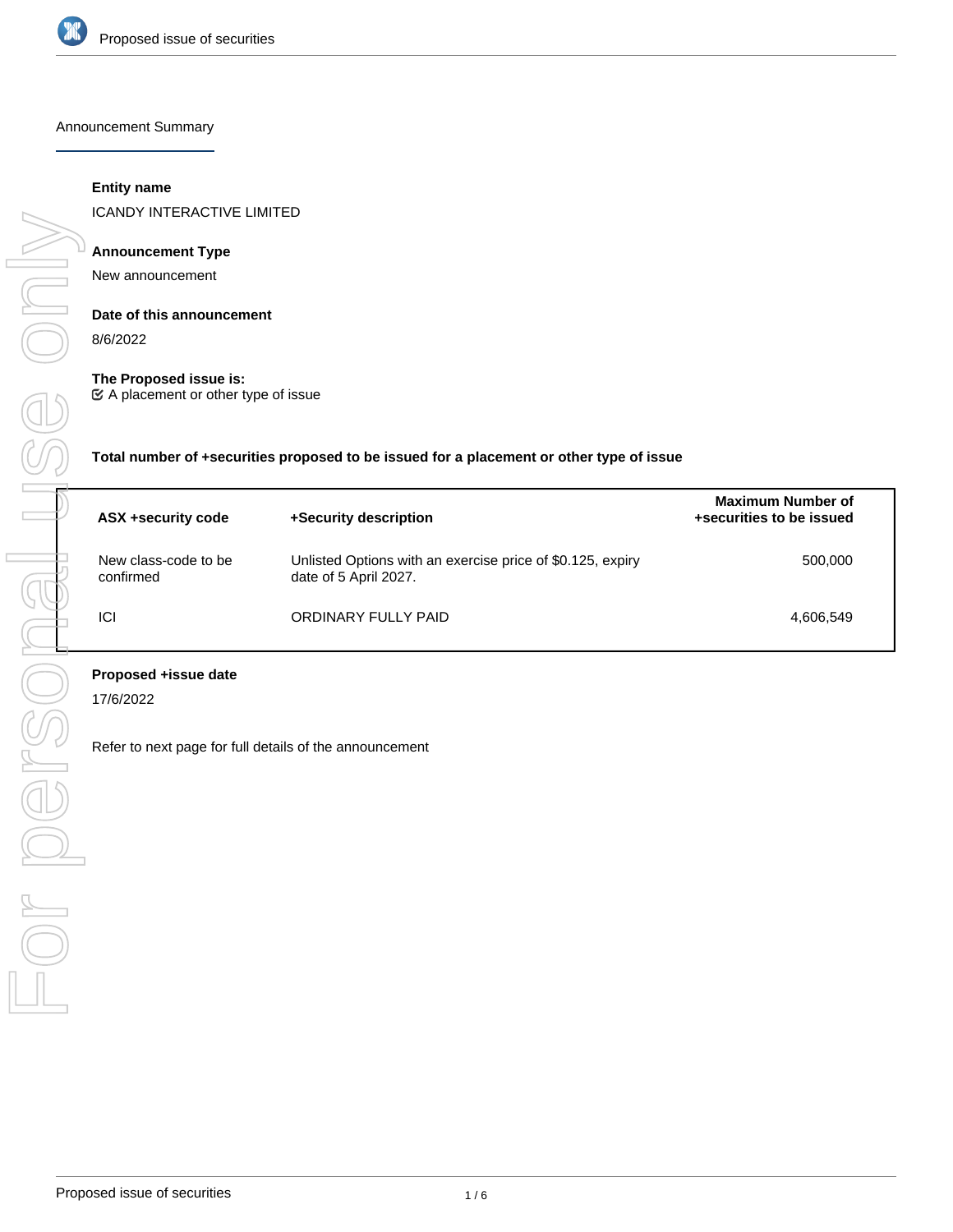

Announcement Summary

# **Entity name**

ICANDY INTERACTIVE LIMITED

### **Announcement Type**

New announcement

# **Date of this announcement**

8/6/2022

### **The Proposed issue is:**

A placement or other type of issue

**Total number of +securities proposed to be issued for a placement or other type of issue**

| ASX +security code                | +Security description                                                               | <b>Maximum Number of</b><br>+securities to be issued |
|-----------------------------------|-------------------------------------------------------------------------------------|------------------------------------------------------|
| New class-code to be<br>confirmed | Unlisted Options with an exercise price of \$0.125, expiry<br>date of 5 April 2027. | 500.000                                              |
| ICI                               | ORDINARY FULLY PAID                                                                 | 4,606,549                                            |

# **Proposed +issue date**

17/6/2022

Refer to next page for full details of the announcement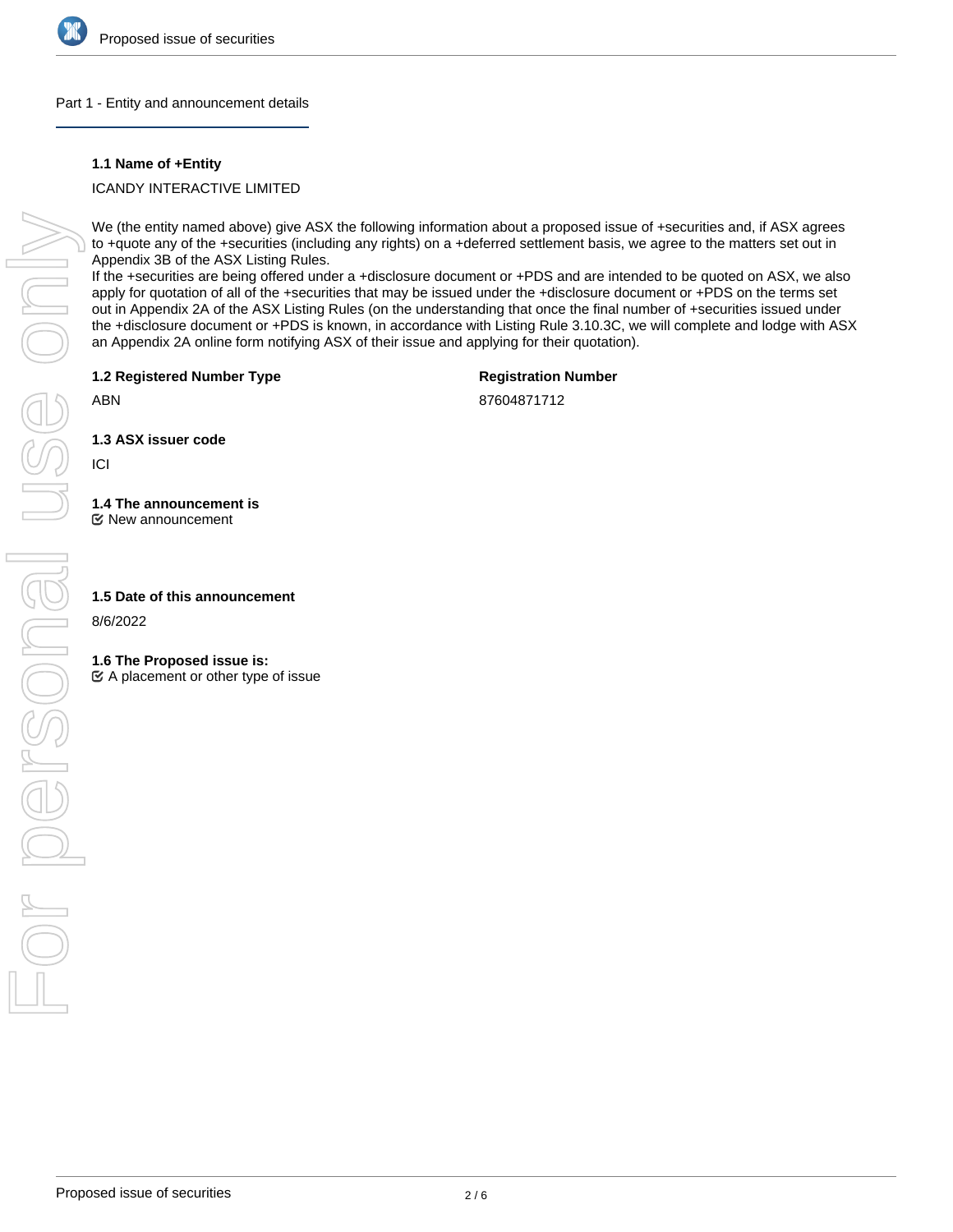

### Part 1 - Entity and announcement details

## **1.1 Name of +Entity**

# ICANDY INTERACTIVE LIMITED

We (the entity named above) give ASX the following information about a proposed issue of +securities and, if ASX agrees to +quote any of the +securities (including any rights) on a +deferred settlement basis, we agree to the matters set out in Appendix 3B of the ASX Listing Rules.

If the +securities are being offered under a +disclosure document or +PDS and are intended to be quoted on ASX, we also apply for quotation of all of the +securities that may be issued under the +disclosure document or +PDS on the terms set out in Appendix 2A of the ASX Listing Rules (on the understanding that once the final number of +securities issued under the +disclosure document or +PDS is known, in accordance with Listing Rule 3.10.3C, we will complete and lodge with ASX an Appendix 2A online form notifying ASX of their issue and applying for their quotation).

**1.2 Registered Number Type**

# **Registration Number**

87604871712

**1.3 ASX issuer code**

ICI

ABN

# **1.4 The announcement is**

New announcement

### **1.5 Date of this announcement**

8/6/2022

### **1.6 The Proposed issue is:**

 $\mathfrak{C}$  A placement or other type of issue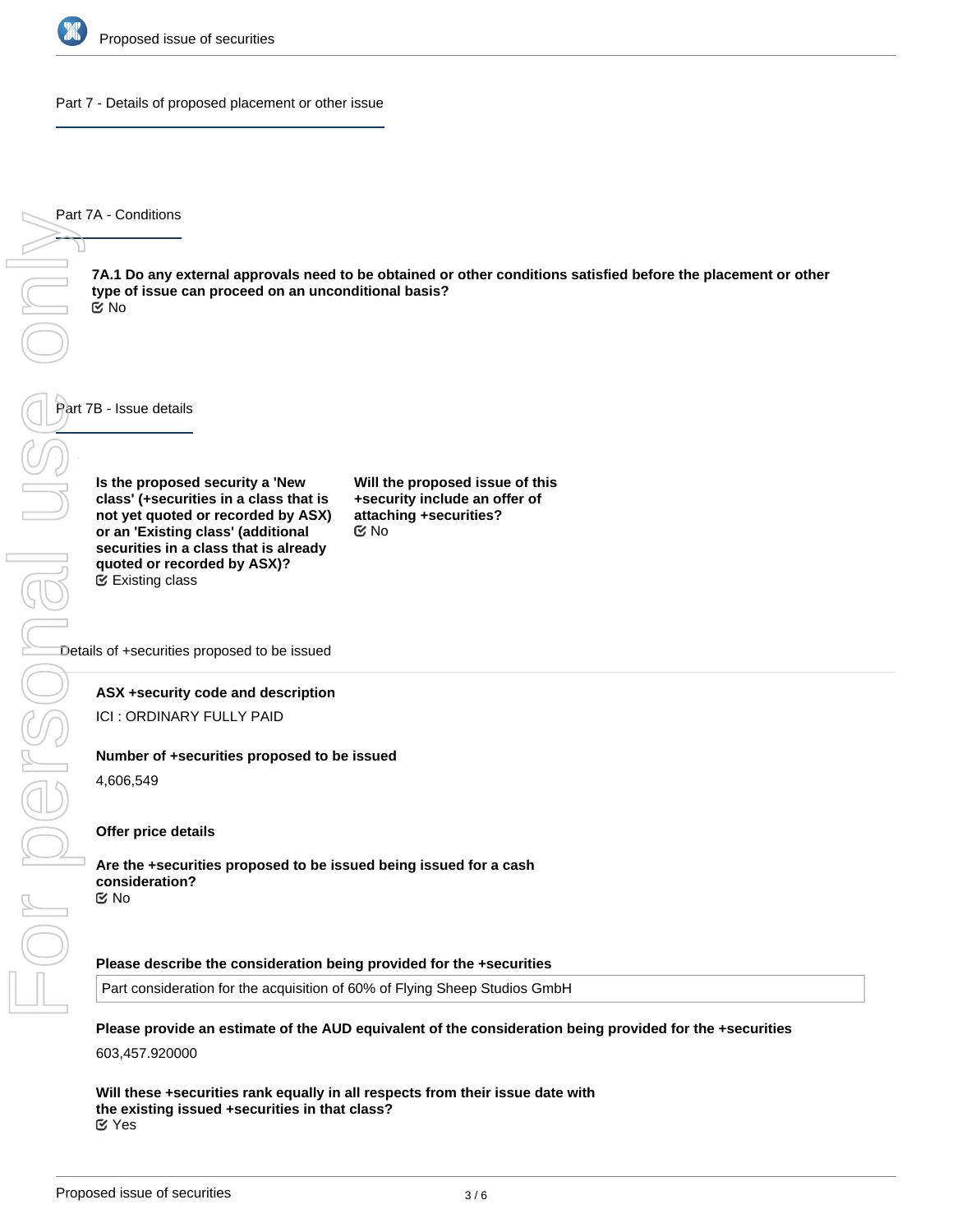

Part 7 - Details of proposed placement or other issue

Part 7A - Conditions

**7A.1 Do any external approvals need to be obtained or other conditions satisfied before the placement or other type of issue can proceed on an unconditional basis?** No

Part 7B - Issue details

**Is the proposed security a 'New class' (+securities in a class that is not yet quoted or recorded by ASX) or an 'Existing class' (additional securities in a class that is already quoted or recorded by ASX)?** Existing class

**Will the proposed issue of this +security include an offer of attaching +securities?** No

Details of +securities proposed to be issued

#### **ASX +security code and description**

ICI : ORDINARY FULLY PAID

#### **Number of +securities proposed to be issued**

4,606,549

#### **Offer price details**

**Are the +securities proposed to be issued being issued for a cash consideration?** No

#### **Please describe the consideration being provided for the +securities**

Part consideration for the acquisition of 60% of Flying Sheep Studios GmbH

# **Please provide an estimate of the AUD equivalent of the consideration being provided for the +securities**

603,457.920000

**Will these +securities rank equally in all respects from their issue date with the existing issued +securities in that class?** Yes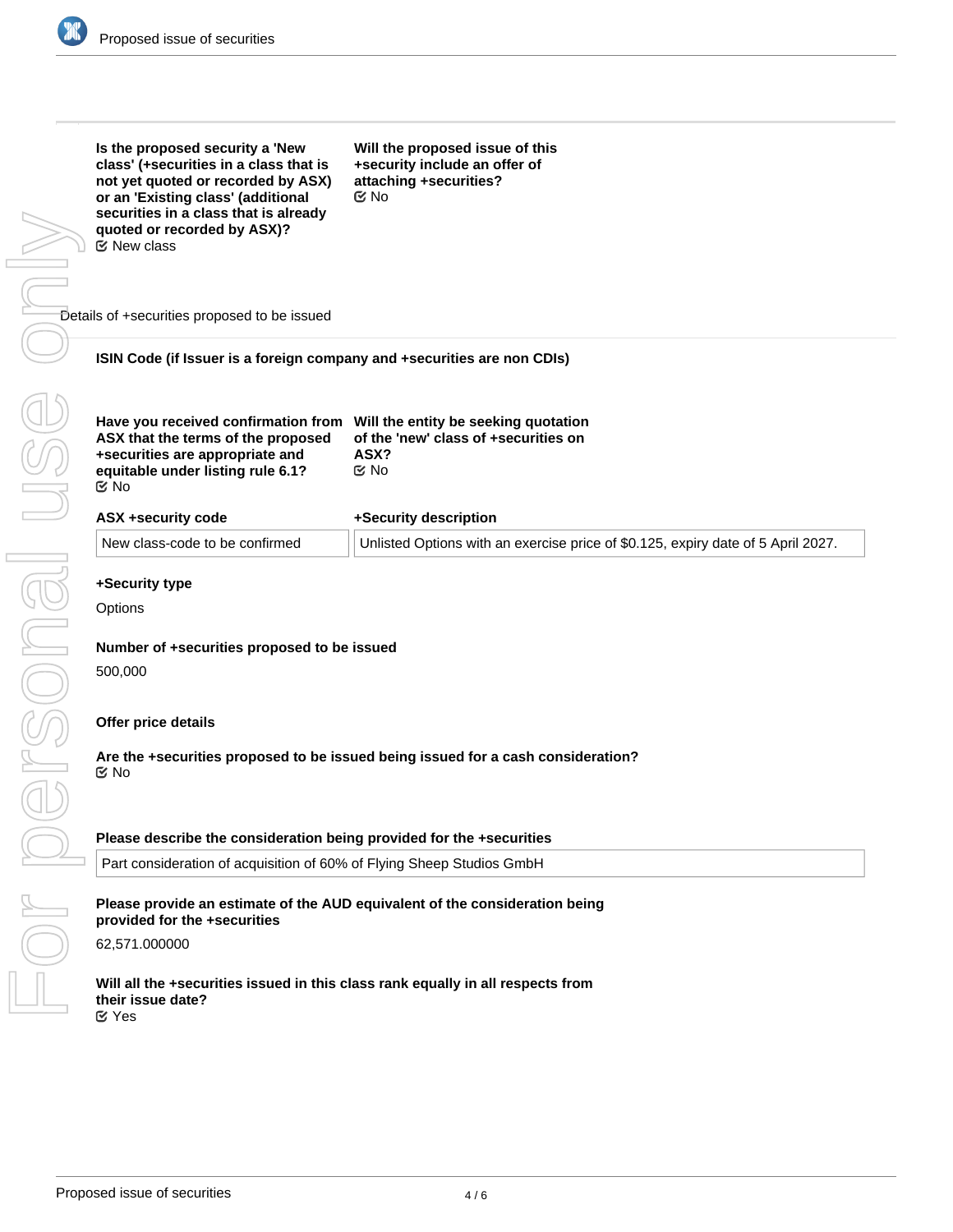

| Is the proposed security a 'New<br>class' (+securities in a class that is<br>not yet quoted or recorded by ASX)<br>or an 'Existing class' (additional<br>securities in a class that is already<br>quoted or recorded by ASX)?<br>$\mathfrak C$ New class | Will the proposed issue of this<br>+security include an offer of<br>attaching +securities?<br>$\mathfrak{C}$ No |  |
|----------------------------------------------------------------------------------------------------------------------------------------------------------------------------------------------------------------------------------------------------------|-----------------------------------------------------------------------------------------------------------------|--|
| Details of +securities proposed to be issued                                                                                                                                                                                                             |                                                                                                                 |  |
| ISIN Code (if Issuer is a foreign company and +securities are non CDIs)                                                                                                                                                                                  |                                                                                                                 |  |
| Have you received confirmation from Will the entity be seeking quotation<br>ASX that the terms of the proposed<br>+securities are appropriate and<br>equitable under listing rule 6.1?<br>$\mathfrak{C}$ No                                              | of the 'new' class of +securities on<br>ASX?<br>$\mathfrak{C}$ No                                               |  |
| <b>ASX +security code</b>                                                                                                                                                                                                                                | +Security description                                                                                           |  |
| New class-code to be confirmed                                                                                                                                                                                                                           | Unlisted Options with an exercise price of \$0.125, expiry date of 5 April 2027.                                |  |
| +Security type<br>Options                                                                                                                                                                                                                                |                                                                                                                 |  |
|                                                                                                                                                                                                                                                          |                                                                                                                 |  |
| Number of +securities proposed to be issued                                                                                                                                                                                                              |                                                                                                                 |  |
| 500,000                                                                                                                                                                                                                                                  |                                                                                                                 |  |
| Offer price details                                                                                                                                                                                                                                      |                                                                                                                 |  |
| Are the +securities proposed to be issued being issued for a cash consideration?<br>$\mathfrak{S}$ No                                                                                                                                                    |                                                                                                                 |  |
|                                                                                                                                                                                                                                                          |                                                                                                                 |  |
| Please describe the consideration being provided for the +securities                                                                                                                                                                                     |                                                                                                                 |  |
| Part consideration of acquisition of 60% of Flying Sheep Studios GmbH                                                                                                                                                                                    |                                                                                                                 |  |
| Please provide an estimate of the AUD equivalent of the consideration being<br>provided for the +securities                                                                                                                                              |                                                                                                                 |  |
| 62,571.000000                                                                                                                                                                                                                                            |                                                                                                                 |  |
| Will all the +securities issued in this class rank equally in all respects from<br>their issue date?<br><b>M</b> Yes                                                                                                                                     |                                                                                                                 |  |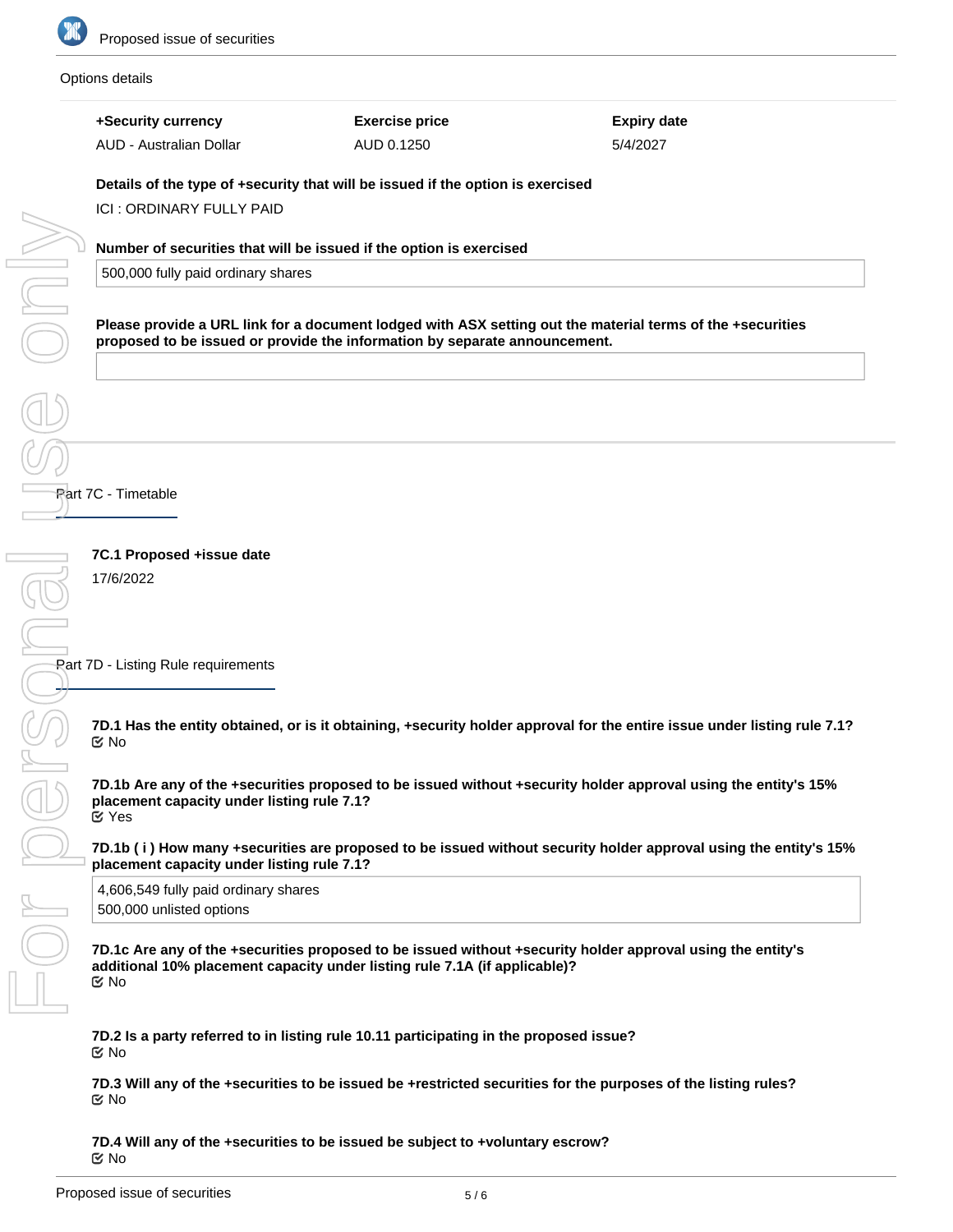

#### Options details

**+Security currency Exercise price Expiry date** 5/4/2027 AUD - Australian Dollar AUD 0.1250 **Details of the type of +security that will be issued if the option is exercised** ICI : ORDINARY FULLY PAID For personal use only One **Number of securities that will be issued if the option is exercised** 500,000 fully paid ordinary shares **Please provide a URL link for a document lodged with ASX setting out the material terms of the +securities proposed to be issued or provide the information by separate announcement.** Part 7C - Timetable **7C.1 Proposed +issue date** 17/6/2022 Part 7D - Listing Rule requirements **7D.1 Has the entity obtained, or is it obtaining, +security holder approval for the entire issue under listing rule 7.1?** No **7D.1b Are any of the +securities proposed to be issued without +security holder approval using the entity's 15% placement capacity under listing rule 7.1?** Yes **7D.1b ( i ) How many +securities are proposed to be issued without security holder approval using the entity's 15% placement capacity under listing rule 7.1?** 4,606,549 fully paid ordinary shares 500,000 unlisted options **7D.1c Are any of the +securities proposed to be issued without +security holder approval using the entity's additional 10% placement capacity under listing rule 7.1A (if applicable)?** No **7D.2 Is a party referred to in listing rule 10.11 participating in the proposed issue?** No

**7D.3 Will any of the +securities to be issued be +restricted securities for the purposes of the listing rules? ⊠**No

**7D.4 Will any of the +securities to be issued be subject to +voluntary escrow?** No